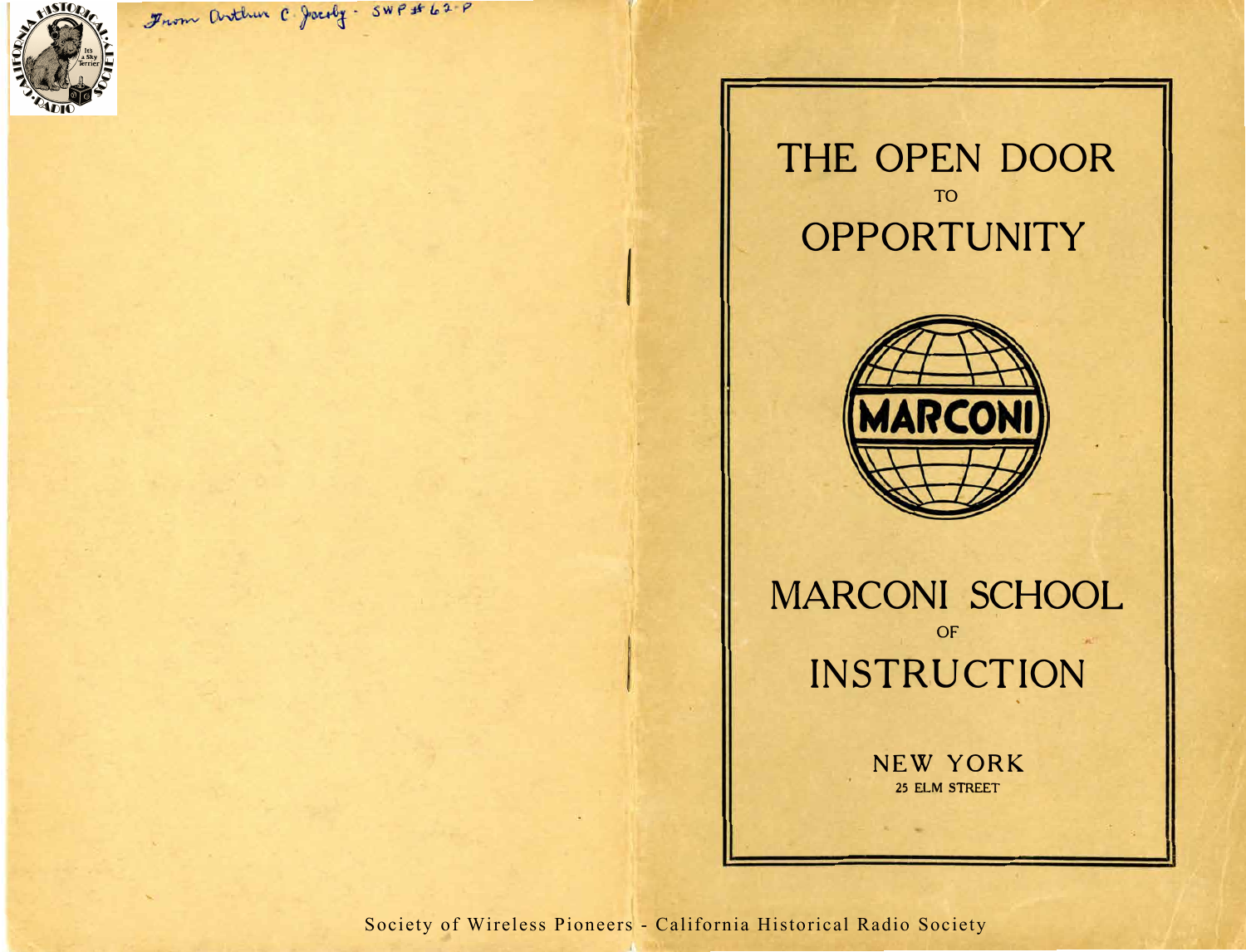

From Arthur C. Jocoby - SWP # 62-P

## THE OPEN DOOR TO **OPPORTUNITY**



MARCONI SCHOOL OF INSTRUCTION  $\sim$ 

> NEW YORK **25 ELM STREET**

Society of Wireless Pioneers - California Historical Radio Society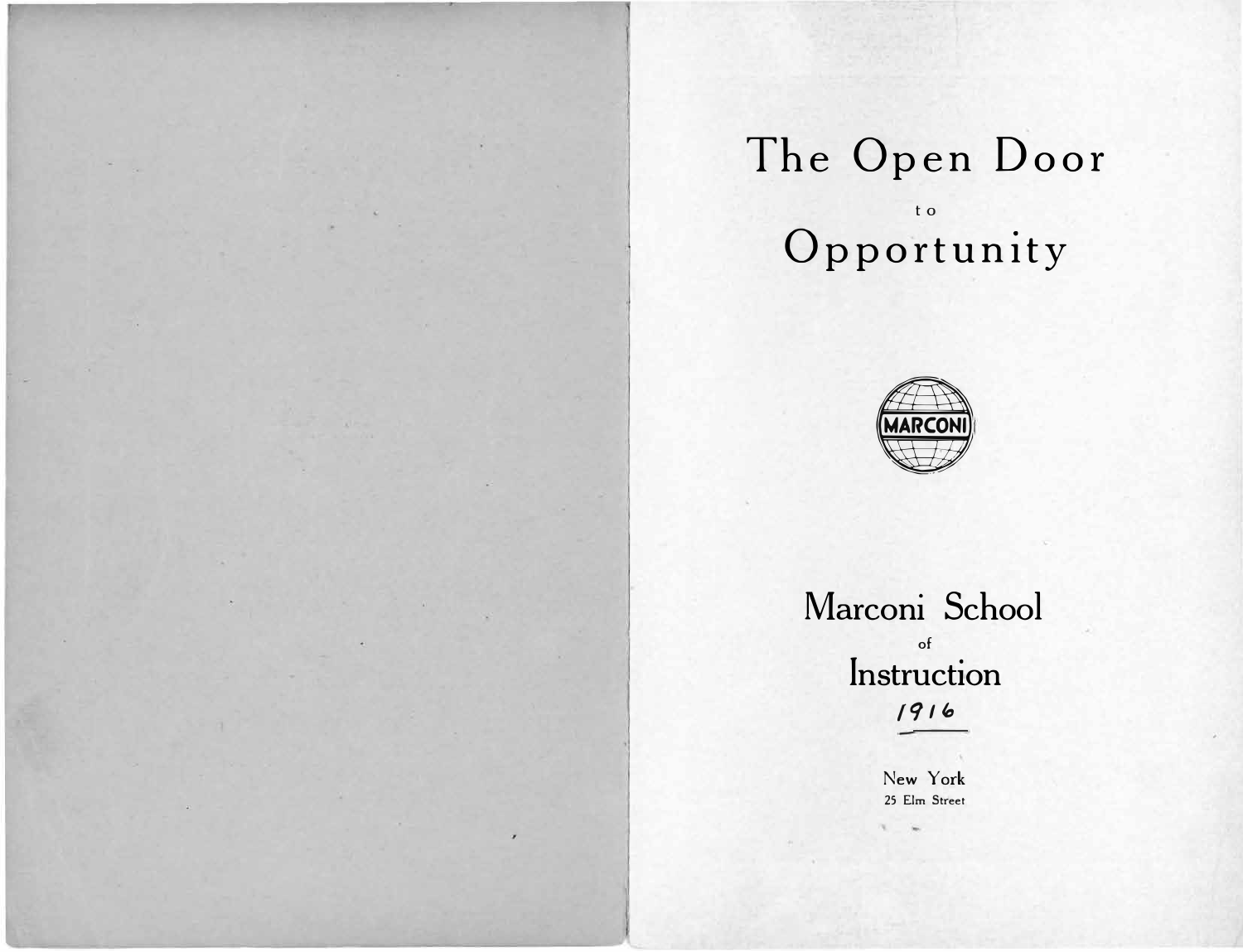# **The Open Door**  t 0 **Opportunity**



**Marconi School of Instruction**  */91 lo*

> New **York**  25 Elm Street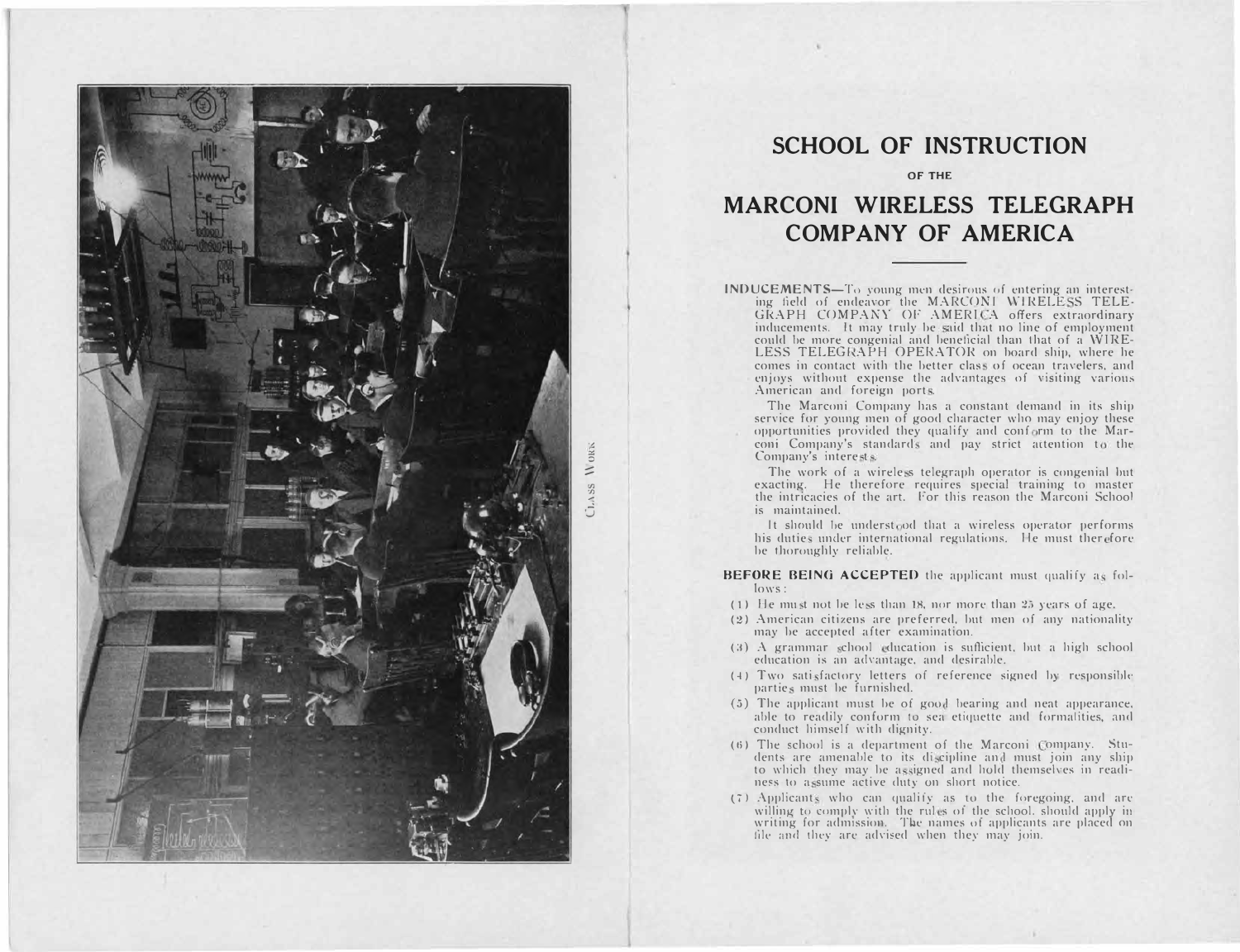

#### **SCHOOL OF INSTRUCTION**

**OF THE** 

### **MARCONI WIRELESS TELEGRAPH COMP ANY OF AMERICA**

INDUCEMENTS-To young men desirous of entering an interesting field of endeavor the MARCONI WIRELESS TELE-GRAPH COMPANY OF AMERICA offers extraordinary inducements. It may truly be said that no line of employment could be more congenial and beneficial than that of a WIRE-LESS TELEGRAPH OPERATOR on board ship, where he comes in contact with the better class of ocean travelers, and enjoys without expense the advantages of visiting various American and foreign ports.

The Marconi Company has a constant demand in its ship service for young men of good character who may enjoy these opportunities provided they qualify and conform to the Marconi Company's standards and pay strict attention to the Company's interests.

The work of a wireless telegraph operator is congenial but exacting. He therefore requires special training to master the intricacies of the art. For this reason the Marconi School is maintained.

It should be understood that a wireless operator performs his duties under international regulations. He must therefore be thoroughly reliable.

BEFORE BEING ACCEPTED the applicant must qualify as follows:

- $(1)$  He must not be less than 18, nor more than 25 years of age.
- (2) American citizens are preferred, but men of any nationality may be accepted after examination.
- (3) A grammar school education is sufficient, but a high school education is an advantage, and desirable.
- $(4)$  Two satisfactory letters of reference signed by responsible parties must be furnished.
- $(5)$  The applicant must be of good bearing and neat appearance, able to readily conform to sea etiquette and formalities, and conduct himself with dignity.
- $(6)$  The school is a department of the Marconi Company. Students are amenable to its discipline and must join any ship to which they may be assigned and hold themselves in readiness to assume active duty on short notice.
- $(7)$  Applicants who can qualify as to the foregoing, and are willing to comply with the rules of the school. should apply in writing for admission. The names of applicants are placed on file and they are advised when they may join.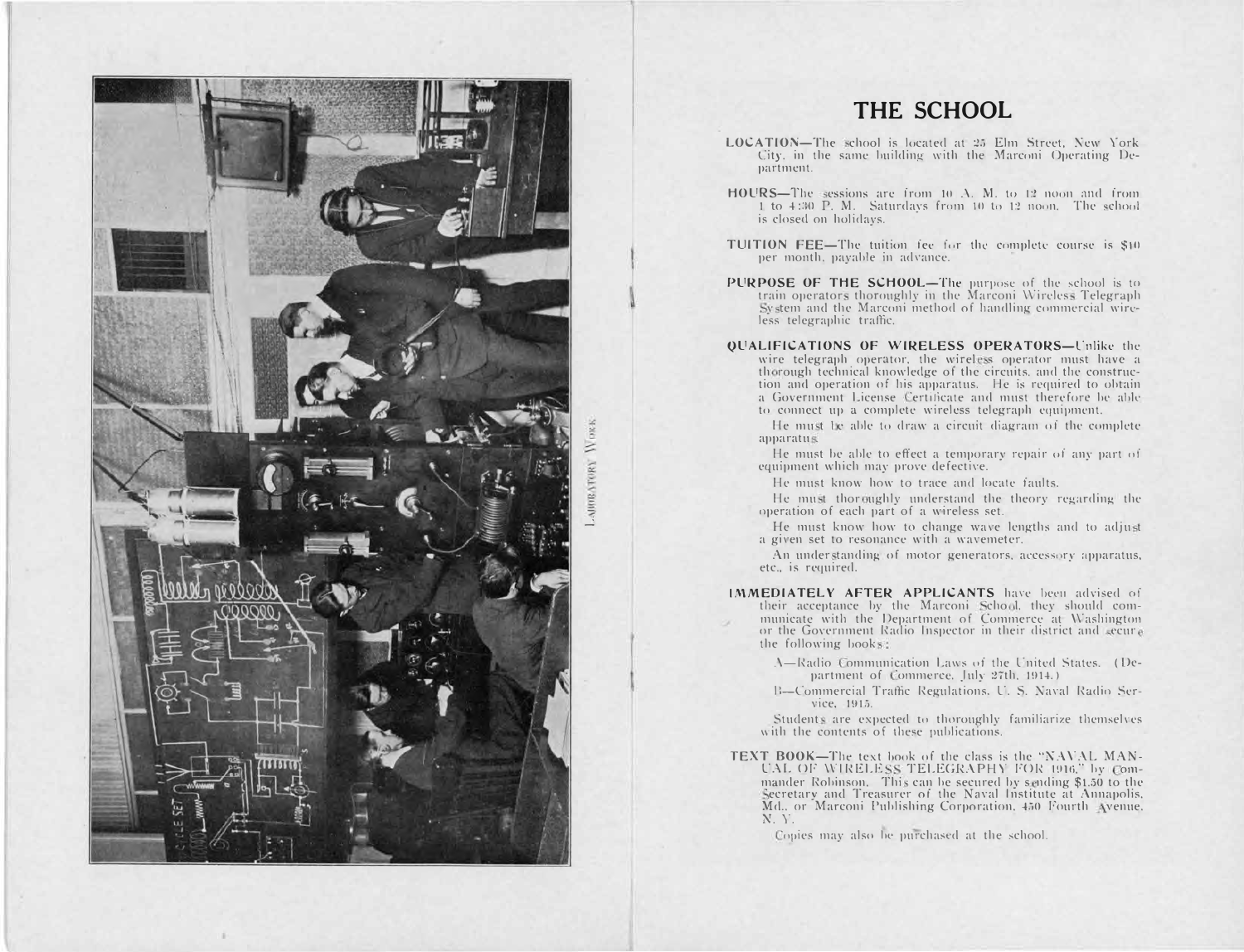

#### THE SCHOOL

- LOCATION-The school is located at 25 Elm Street, New York City, in the same building with the Marconi Operating Department.
- HOURS-The sessions are from 10 A. M. to 12 noon and from 1 to 4:30 P. M. Saturdays from 10 to 12 noon. The school is closed on holidays.
- TUITION FEE-The tuition fee for the complete course is \$40 per month, payable in advance.
- PURPOSE OF THE SCHOOL—The purpose of the school is to train operators thoroughly in the Marconi Wireless Telegraph System and the Marconi method of handling commercial wireless telegraphic traffic.
- **OUALIFICATIONS OF WIRELESS OPERATORS-Unlike the** wire telegraph operator, the wireless operator must have a thorough technical knowledge of the circuits, and the construction and operation of his apparatus. He is required to obtain a Government License Certificate and must therefore be able to connect up a complete wireless telegraph equipment.

He must be able to draw a circuit diagram of the complete apparatus.

He must be able to effect a temporary repair of any part of equipment which may prove defective.

He must know how to trace and locate faults.

He must thoroughly understand the theory regarding the operation of each part of a wireless set.

He must know how to change wave lengths and to adjust a given set to resonance with a wavemeter.

An understanding of motor generators, accessory apparatus, etc., is required.

- IMMEDIATELY AFTER APPLICANTS have been advised of their acceptance by the Marconi School, they should communicate with the Department of Commerce at Washington or the Government Radio Inspector in their district and secure the following books:
	- A-Radio Communication Laws of the United States. (Department of Commerce, July 27th, 1914.)
	- B-Commercial Traffic Regulations, U. S. Naval Radio Service, 1915.

Students are expected to thoroughly familiarize themselves with the contents of these publications.

TEXT BOOK-The text book of the class is the "NAVAL MAN-UAL OF WIRELESS TELEGRAPHY FOR 1916," by Commander Robinson. This can be secured by sending \$1.50 to the Secretary and Treasurer of the Naval Institute at Annapolis. Md., or Marconi Publishing Corporation, 450 Fourth Avenue.  $N, Y$ .

Copies may also be purchased at the school.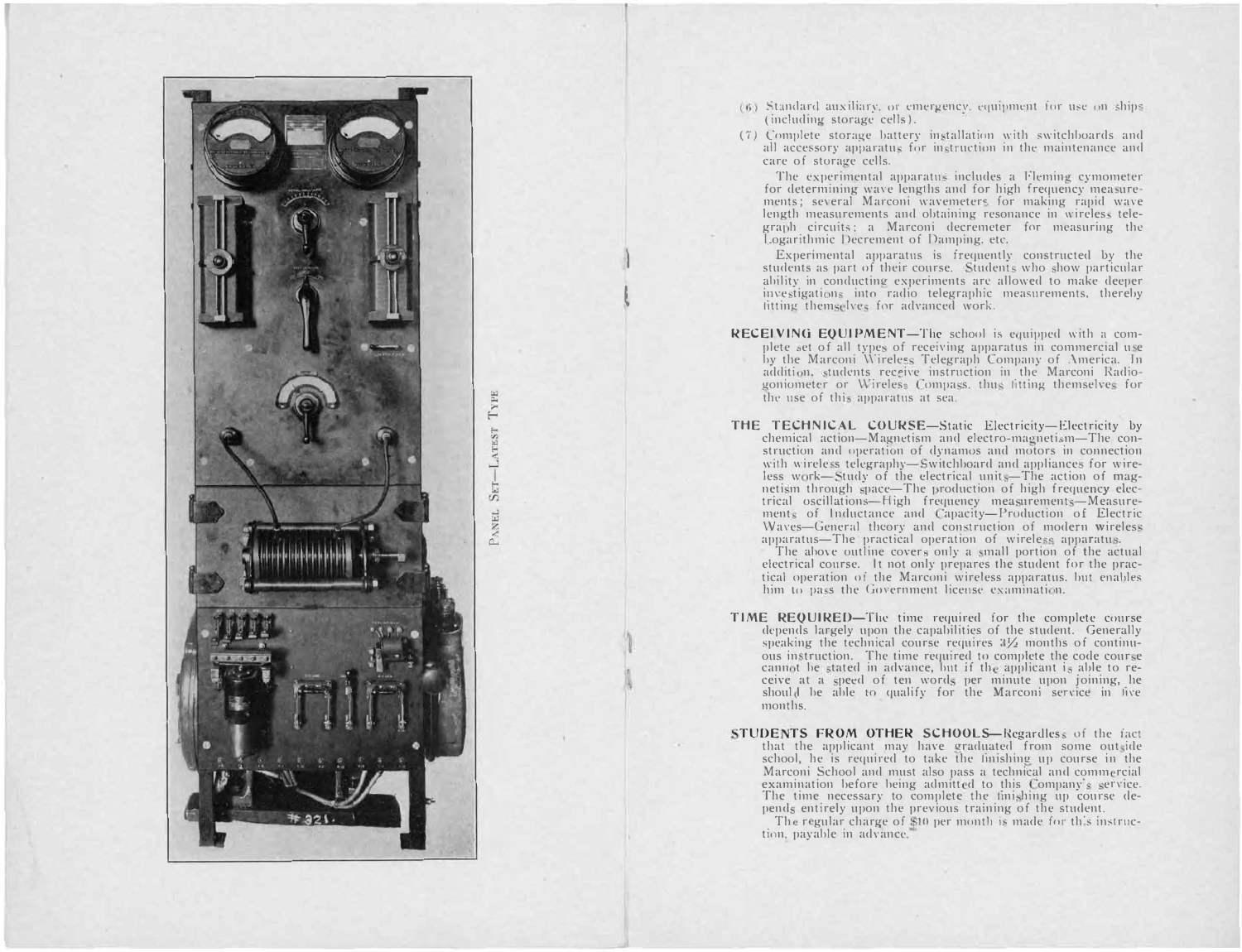

r  $-LATEST$ SET-PANEL **l** 

**l** 

- (6) Standard auxiliary, or emergency, equipment for use on *ship*<sup>®</sup> (including storage cells). ,
- (7) Complete storage battery in tallation with switchboards and all accessory apparatus for instruction in the maintenance and care of storage cells.

The experimental apparatus includes a Flemin's cymometer for determining wave lengths and for high frequency measurements; several Marconi wavemeters for making rapid wave length measurements and obtaining resonance in wireless telegraph circuits: a Marconi decremeter for measuring the Logarithmic Decrement of Damping. etc.

Experimental apparatus is frequently constructed by the students as part of their course. Students who show particular ability in conducting experiments are allowed to make deeper investigations into radio telegraphic measurements, thereby litting themselves for advanced work.

- **RECEIVING EQUIPMENT—The school is equipped with a com**plete set of all types of receiving apparatus in commercial use by the Marconi Wireless Telegraph Company of America. In addition, students receive instruction in the Marconi Radiogoniometer or Wireless Compass, thus fitting themselves for the use of this apparatus at sea.
- **THE TECHNICAL COURSE-Static Electricity-Electricity by**  $chemical$  action- $M$ agnetism and electro-magnetism-The construction and operation of dynamos and motors in connection with wireless telegraphy-Switchboard and appliances for wireless work-Study of the electrical units-The action of magnetism through space—The production of high frequency elec-<br>trical oscillations—High frequency measurements—Measurements of Inductance and Capacity-Production of Electric Waves-General theory and construction of modern wireless apparatus-The practical operation of wireless apparatus.

The above outline cover<sup>s</sup> only a small portion of the actual electrical course. It not only prepares the student for the practical operation of the Marconi wireless apparatus. but enables him to pa's the Government license examination.

- **TIME REQUIRED-The time required for the complete course** depends largely upon the capabilities of the student. Generally speaking the technical course requires  $3\frac{1}{2}$  months of continuous in truction. The time required to complete the code cour e cannot be stated in advance, but if the applicant is able to receive at a speed of ten words per minute upon joining, he should be able to qualify for the Marconi service in five months.
- **STUDENTS FROM OTHER SCHOOLS-Regardless of the fact** that the applicant may have graduated from some outside school, he is required to take the finishing up course in the Marconi School and must also pass a technical and commercial examination before being admitted to this Company's service. The time necessary to complete the finishing up course depends entirely upon the previous training of the student.

The regular charge of \$10 per month is made for this instruction, payable in advance.